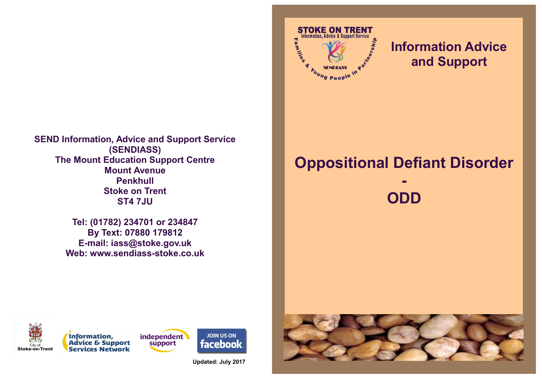

**Tel: (01782) 234701 or 234847 By Text: 07880 179812 E-mail: iass@stoke.gov.uk Web: www.sendiass-stoke.co.uk**



## **Information Advice and Support**

# **Oppositional Defiant Disorder**









**Updated: July 2017**

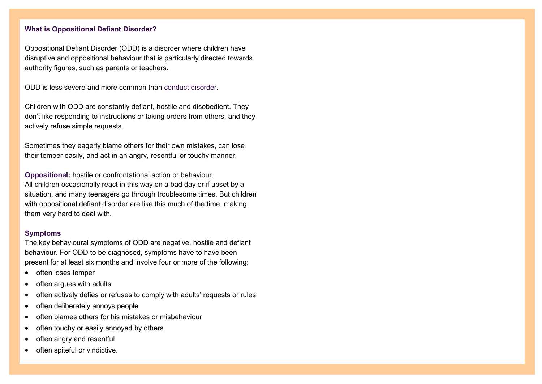### **What is Oppositional Defiant Disorder?**

Oppositional Defiant Disorder (ODD) is a disorder where children have disruptive and oppositional behaviour that is particularly directed towards authority figures, such as parents or teachers.

ODD is less severe and more common than [conduct disorder.](http://www.netdoctor.co.uk/adhd/conductdisorder.htm)

Children with ODD are constantly defiant, hostile and disobedient. They don't like responding to instructions or taking orders from others, and they actively refuse simple requests.

Sometimes they eagerly blame others for their own mistakes, can lose their temper easily, and act in an angry, resentful or touchy manner.

**Oppositional:** hostile or confrontational action or behaviour. All children occasionally react in this way on a bad day or if upset by a situation, and many teenagers go through troublesome times. But children with oppositional defiant disorder are like this much of the time, making them very hard to deal with.

#### **Symptoms**

The key behavioural symptoms of ODD are negative, hostile and defiant behaviour. For ODD to be diagnosed, symptoms have to have been present for at least six months and involve four or more of the following:

- often loses temper
- often argues with adults
- often actively defies or refuses to comply with adults' requests or rules
- often deliberately annoys people
- $\bullet$  often blames others for his mistakes or misbehaviour
- often touchy or easily annoyed by others
- often angry and resentful
- often spiteful or vindictive.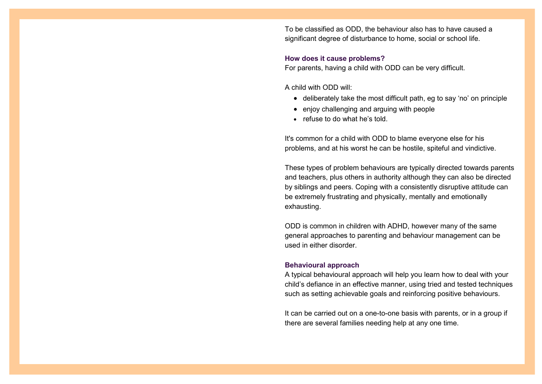To be classified as ODD, the behaviour also has to have caused a significant degree of disturbance to home, social or school life.

#### **How does it cause problems?**

For parents, having a child with ODD can be very difficult.

A child with ODD will:

- deliberately take the most difficult path, eg to say 'no' on principle
- enjoy challenging and arguing with people
- refuse to do what he's told.

It's common for a child with ODD to blame everyone else for his problems, and at his worst he can be hostile, spiteful and vindictive.

These types of problem behaviours are typically directed towards parents and teachers, plus others in authority although they can also be directed by siblings and peers. Coping with a consistently disruptive attitude can be extremely frustrating and physically, mentally and emotionally exhausting.

ODD is common in children with ADHD, however many of the same general approaches to parenting and behaviour management can be used in either disorder.

#### **Behavioural approach**

A typical behavioural approach will help you learn how to deal with your child's defiance in an effective manner, using tried and tested techniques such as setting achievable goals and reinforcing positive behaviours.

It can be carried out on a one-to-one basis with parents, or in a group if there are several families needing help at any one time.